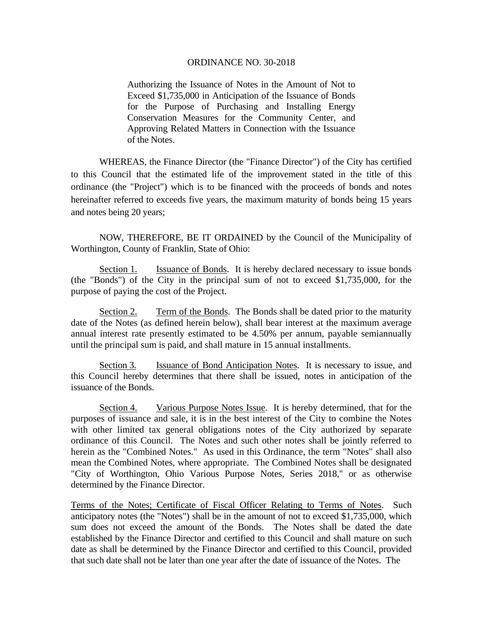Authorizing the Issuance of Notes in the Amount of Not to Exceed \$1,735,000 in Anticipation of the Issuance of Bonds for the Purpose of Purchasing and Installing Energy Conservation Measures for the Community Center, and Approving Related Matters in Connection with the Issuance of the Notes.

 WHEREAS, the Finance Director (the "Finance Director") of the City has certified to this Council that the estimated life of the improvement stated in the title of this ordinance (the "Project") which is to be financed with the proceeds of bonds and notes hereinafter referred to exceeds five years, the maximum maturity of bonds being 15 years and notes being 20 years;

 NOW, THEREFORE, BE IT ORDAINED by the Council of the Municipality of Worthington, County of Franklin, State of Ohio:

Section 1. Issuance of Bonds. It is hereby declared necessary to issue bonds (the "Bonds") of the City in the principal sum of not to exceed \$1,735,000, for the purpose of paying the cost of the Project.

Section 2. Term of the Bonds. The Bonds shall be dated prior to the maturity date of the Notes (as defined herein below), shall bear interest at the maximum average annual interest rate presently estimated to be 4.50% per annum, payable semiannually until the principal sum is paid, and shall mature in 15 annual installments.

Section 3. Issuance of Bond Anticipation Notes. It is necessary to issue, and this Council hereby determines that there shall be issued, notes in anticipation of the issuance of the Bonds.

Section 4. Various Purpose Notes Issue. It is hereby determined, that for the purposes of issuance and sale, it is in the best interest of the City to combine the Notes with other limited tax general obligations notes of the City authorized by separate ordinance of this Council. The Notes and such other notes shall be jointly referred to herein as the "Combined Notes." As used in this Ordinance, the term "Notes" shall also mean the Combined Notes, where appropriate. The Combined Notes shall be designated "City of Worthington, Ohio Various Purpose Notes, Series 2018," or as otherwise determined by the Finance Director.

Terms of the Notes; Certificate of Fiscal Officer Relating to Terms of Notes. Such anticipatory notes (the "Notes") shall be in the amount of not to exceed \$1,735,000, which sum does not exceed the amount of the Bonds. The Notes shall be dated the date established by the Finance Director and certified to this Council and shall mature on such date as shall be determined by the Finance Director and certified to this Council, provided that such date shall not be later than one year after the date of issuance of the Notes. The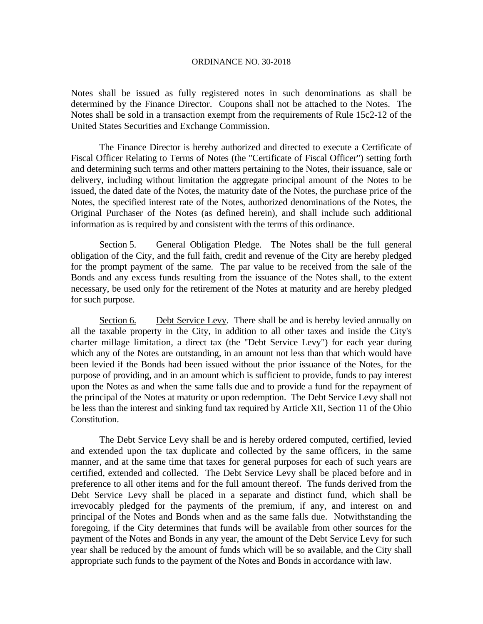Notes shall be issued as fully registered notes in such denominations as shall be determined by the Finance Director. Coupons shall not be attached to the Notes. The Notes shall be sold in a transaction exempt from the requirements of Rule 15c2-12 of the United States Securities and Exchange Commission.

 The Finance Director is hereby authorized and directed to execute a Certificate of Fiscal Officer Relating to Terms of Notes (the "Certificate of Fiscal Officer") setting forth and determining such terms and other matters pertaining to the Notes, their issuance, sale or delivery, including without limitation the aggregate principal amount of the Notes to be issued, the dated date of the Notes, the maturity date of the Notes, the purchase price of the Notes, the specified interest rate of the Notes, authorized denominations of the Notes, the Original Purchaser of the Notes (as defined herein), and shall include such additional information as is required by and consistent with the terms of this ordinance.

Section 5. General Obligation Pledge. The Notes shall be the full general obligation of the City, and the full faith, credit and revenue of the City are hereby pledged for the prompt payment of the same. The par value to be received from the sale of the Bonds and any excess funds resulting from the issuance of the Notes shall, to the extent necessary, be used only for the retirement of the Notes at maturity and are hereby pledged for such purpose.

Section 6. Debt Service Levy. There shall be and is hereby levied annually on all the taxable property in the City, in addition to all other taxes and inside the City's charter millage limitation, a direct tax (the "Debt Service Levy") for each year during which any of the Notes are outstanding, in an amount not less than that which would have been levied if the Bonds had been issued without the prior issuance of the Notes, for the purpose of providing, and in an amount which is sufficient to provide, funds to pay interest upon the Notes as and when the same falls due and to provide a fund for the repayment of the principal of the Notes at maturity or upon redemption. The Debt Service Levy shall not be less than the interest and sinking fund tax required by Article XII, Section 11 of the Ohio Constitution.

The Debt Service Levy shall be and is hereby ordered computed, certified, levied and extended upon the tax duplicate and collected by the same officers, in the same manner, and at the same time that taxes for general purposes for each of such years are certified, extended and collected. The Debt Service Levy shall be placed before and in preference to all other items and for the full amount thereof. The funds derived from the Debt Service Levy shall be placed in a separate and distinct fund, which shall be irrevocably pledged for the payments of the premium, if any, and interest on and principal of the Notes and Bonds when and as the same falls due. Notwithstanding the foregoing, if the City determines that funds will be available from other sources for the payment of the Notes and Bonds in any year, the amount of the Debt Service Levy for such year shall be reduced by the amount of funds which will be so available, and the City shall appropriate such funds to the payment of the Notes and Bonds in accordance with law.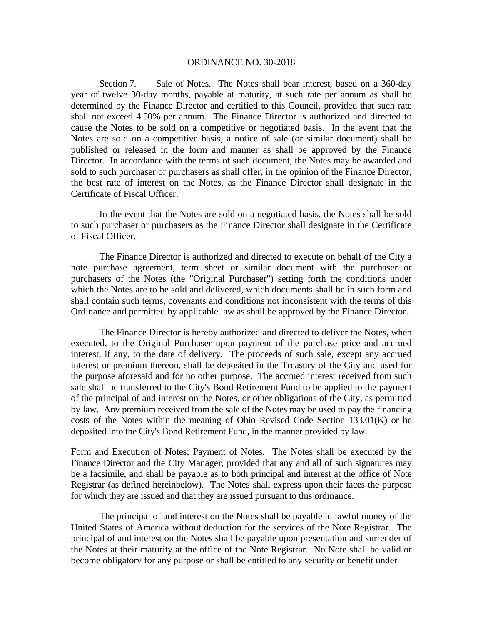Section 7. Sale of Notes. The Notes shall bear interest, based on a 360-day year of twelve 30-day months, payable at maturity, at such rate per annum as shall be determined by the Finance Director and certified to this Council, provided that such rate shall not exceed 4.50% per annum. The Finance Director is authorized and directed to cause the Notes to be sold on a competitive or negotiated basis. In the event that the Notes are sold on a competitive basis, a notice of sale (or similar document) shall be published or released in the form and manner as shall be approved by the Finance Director. In accordance with the terms of such document, the Notes may be awarded and sold to such purchaser or purchasers as shall offer, in the opinion of the Finance Director, the best rate of interest on the Notes, as the Finance Director shall designate in the Certificate of Fiscal Officer.

In the event that the Notes are sold on a negotiated basis, the Notes shall be sold to such purchaser or purchasers as the Finance Director shall designate in the Certificate of Fiscal Officer.

The Finance Director is authorized and directed to execute on behalf of the City a note purchase agreement, term sheet or similar document with the purchaser or purchasers of the Notes (the "Original Purchaser") setting forth the conditions under which the Notes are to be sold and delivered, which documents shall be in such form and shall contain such terms, covenants and conditions not inconsistent with the terms of this Ordinance and permitted by applicable law as shall be approved by the Finance Director.

The Finance Director is hereby authorized and directed to deliver the Notes, when executed, to the Original Purchaser upon payment of the purchase price and accrued interest, if any, to the date of delivery. The proceeds of such sale, except any accrued interest or premium thereon, shall be deposited in the Treasury of the City and used for the purpose aforesaid and for no other purpose. The accrued interest received from such sale shall be transferred to the City's Bond Retirement Fund to be applied to the payment of the principal of and interest on the Notes, or other obligations of the City, as permitted by law. Any premium received from the sale of the Notes may be used to pay the financing costs of the Notes within the meaning of Ohio Revised Code Section 133.01(K) or be deposited into the City's Bond Retirement Fund, in the manner provided by law.

Form and Execution of Notes; Payment of Notes. The Notes shall be executed by the Finance Director and the City Manager, provided that any and all of such signatures may be a facsimile, and shall be payable as to both principal and interest at the office of Note Registrar (as defined hereinbelow). The Notes shall express upon their faces the purpose for which they are issued and that they are issued pursuant to this ordinance.

 The principal of and interest on the Notes shall be payable in lawful money of the United States of America without deduction for the services of the Note Registrar. The principal of and interest on the Notes shall be payable upon presentation and surrender of the Notes at their maturity at the office of the Note Registrar. No Note shall be valid or become obligatory for any purpose or shall be entitled to any security or benefit under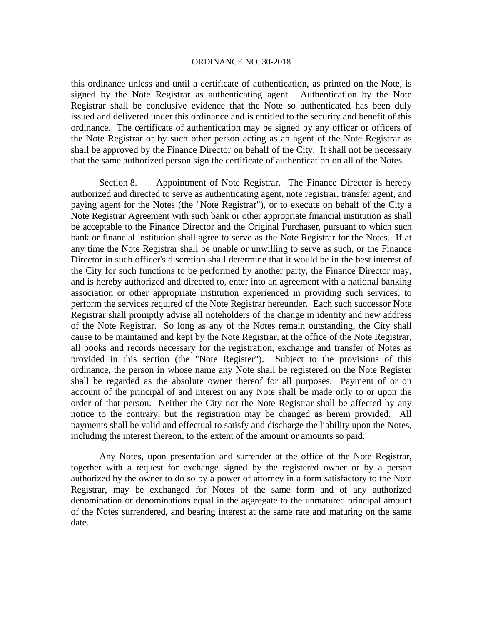this ordinance unless and until a certificate of authentication, as printed on the Note, is signed by the Note Registrar as authenticating agent. Authentication by the Note Registrar shall be conclusive evidence that the Note so authenticated has been duly issued and delivered under this ordinance and is entitled to the security and benefit of this ordinance. The certificate of authentication may be signed by any officer or officers of the Note Registrar or by such other person acting as an agent of the Note Registrar as shall be approved by the Finance Director on behalf of the City. It shall not be necessary that the same authorized person sign the certificate of authentication on all of the Notes.

Section 8. Appointment of Note Registrar. The Finance Director is hereby authorized and directed to serve as authenticating agent, note registrar, transfer agent, and paying agent for the Notes (the "Note Registrar"), or to execute on behalf of the City a Note Registrar Agreement with such bank or other appropriate financial institution as shall be acceptable to the Finance Director and the Original Purchaser, pursuant to which such bank or financial institution shall agree to serve as the Note Registrar for the Notes. If at any time the Note Registrar shall be unable or unwilling to serve as such, or the Finance Director in such officer's discretion shall determine that it would be in the best interest of the City for such functions to be performed by another party, the Finance Director may, and is hereby authorized and directed to, enter into an agreement with a national banking association or other appropriate institution experienced in providing such services, to perform the services required of the Note Registrar hereunder. Each such successor Note Registrar shall promptly advise all noteholders of the change in identity and new address of the Note Registrar. So long as any of the Notes remain outstanding, the City shall cause to be maintained and kept by the Note Registrar, at the office of the Note Registrar, all books and records necessary for the registration, exchange and transfer of Notes as provided in this section (the "Note Register"). Subject to the provisions of this ordinance, the person in whose name any Note shall be registered on the Note Register shall be regarded as the absolute owner thereof for all purposes. Payment of or on account of the principal of and interest on any Note shall be made only to or upon the order of that person. Neither the City nor the Note Registrar shall be affected by any notice to the contrary, but the registration may be changed as herein provided. All payments shall be valid and effectual to satisfy and discharge the liability upon the Notes, including the interest thereon, to the extent of the amount or amounts so paid.

Any Notes, upon presentation and surrender at the office of the Note Registrar, together with a request for exchange signed by the registered owner or by a person authorized by the owner to do so by a power of attorney in a form satisfactory to the Note Registrar, may be exchanged for Notes of the same form and of any authorized denomination or denominations equal in the aggregate to the unmatured principal amount of the Notes surrendered, and bearing interest at the same rate and maturing on the same date.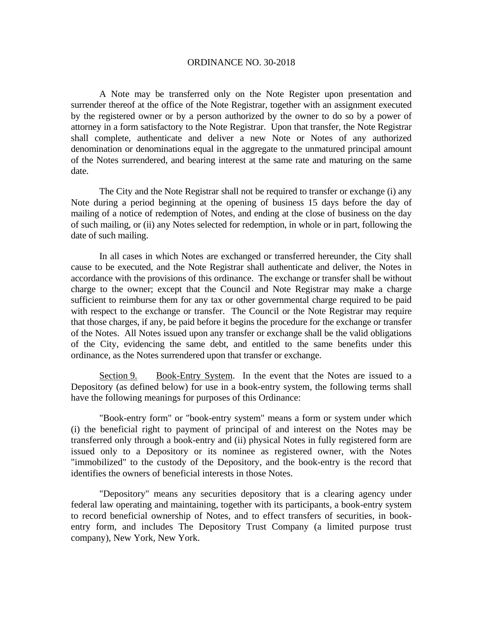A Note may be transferred only on the Note Register upon presentation and surrender thereof at the office of the Note Registrar, together with an assignment executed by the registered owner or by a person authorized by the owner to do so by a power of attorney in a form satisfactory to the Note Registrar. Upon that transfer, the Note Registrar shall complete, authenticate and deliver a new Note or Notes of any authorized denomination or denominations equal in the aggregate to the unmatured principal amount of the Notes surrendered, and bearing interest at the same rate and maturing on the same date.

The City and the Note Registrar shall not be required to transfer or exchange (i) any Note during a period beginning at the opening of business 15 days before the day of mailing of a notice of redemption of Notes, and ending at the close of business on the day of such mailing, or (ii) any Notes selected for redemption, in whole or in part, following the date of such mailing.

In all cases in which Notes are exchanged or transferred hereunder, the City shall cause to be executed, and the Note Registrar shall authenticate and deliver, the Notes in accordance with the provisions of this ordinance. The exchange or transfer shall be without charge to the owner; except that the Council and Note Registrar may make a charge sufficient to reimburse them for any tax or other governmental charge required to be paid with respect to the exchange or transfer. The Council or the Note Registrar may require that those charges, if any, be paid before it begins the procedure for the exchange or transfer of the Notes. All Notes issued upon any transfer or exchange shall be the valid obligations of the City, evidencing the same debt, and entitled to the same benefits under this ordinance, as the Notes surrendered upon that transfer or exchange.

Section 9. Book-Entry System. In the event that the Notes are issued to a Depository (as defined below) for use in a book-entry system, the following terms shall have the following meanings for purposes of this Ordinance:

"Book-entry form" or "book-entry system" means a form or system under which (i) the beneficial right to payment of principal of and interest on the Notes may be transferred only through a book-entry and (ii) physical Notes in fully registered form are issued only to a Depository or its nominee as registered owner, with the Notes "immobilized" to the custody of the Depository, and the book-entry is the record that identifies the owners of beneficial interests in those Notes.

"Depository" means any securities depository that is a clearing agency under federal law operating and maintaining, together with its participants, a book-entry system to record beneficial ownership of Notes, and to effect transfers of securities, in bookentry form, and includes The Depository Trust Company (a limited purpose trust company), New York, New York.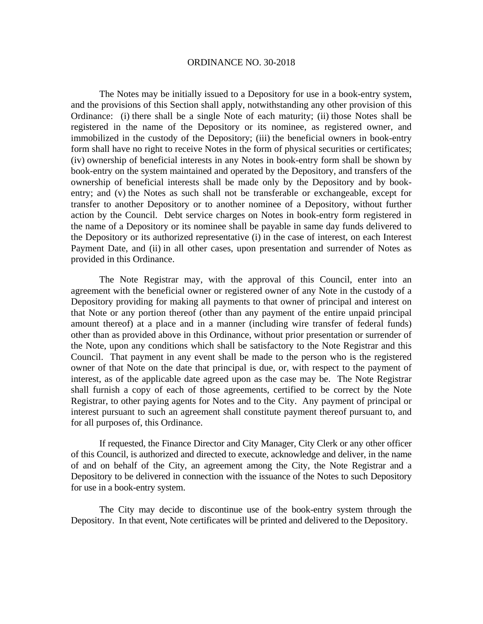The Notes may be initially issued to a Depository for use in a book-entry system, and the provisions of this Section shall apply, notwithstanding any other provision of this Ordinance: (i) there shall be a single Note of each maturity; (ii) those Notes shall be registered in the name of the Depository or its nominee, as registered owner, and immobilized in the custody of the Depository; (iii) the beneficial owners in book-entry form shall have no right to receive Notes in the form of physical securities or certificates; (iv) ownership of beneficial interests in any Notes in book-entry form shall be shown by book-entry on the system maintained and operated by the Depository, and transfers of the ownership of beneficial interests shall be made only by the Depository and by bookentry; and (v) the Notes as such shall not be transferable or exchangeable, except for transfer to another Depository or to another nominee of a Depository, without further action by the Council. Debt service charges on Notes in book-entry form registered in the name of a Depository or its nominee shall be payable in same day funds delivered to the Depository or its authorized representative (i) in the case of interest, on each Interest Payment Date, and (ii) in all other cases, upon presentation and surrender of Notes as provided in this Ordinance.

The Note Registrar may, with the approval of this Council, enter into an agreement with the beneficial owner or registered owner of any Note in the custody of a Depository providing for making all payments to that owner of principal and interest on that Note or any portion thereof (other than any payment of the entire unpaid principal amount thereof) at a place and in a manner (including wire transfer of federal funds) other than as provided above in this Ordinance, without prior presentation or surrender of the Note, upon any conditions which shall be satisfactory to the Note Registrar and this Council. That payment in any event shall be made to the person who is the registered owner of that Note on the date that principal is due, or, with respect to the payment of interest, as of the applicable date agreed upon as the case may be. The Note Registrar shall furnish a copy of each of those agreements, certified to be correct by the Note Registrar, to other paying agents for Notes and to the City. Any payment of principal or interest pursuant to such an agreement shall constitute payment thereof pursuant to, and for all purposes of, this Ordinance.

If requested, the Finance Director and City Manager, City Clerk or any other officer of this Council, is authorized and directed to execute, acknowledge and deliver, in the name of and on behalf of the City, an agreement among the City, the Note Registrar and a Depository to be delivered in connection with the issuance of the Notes to such Depository for use in a book-entry system.

 The City may decide to discontinue use of the book-entry system through the Depository. In that event, Note certificates will be printed and delivered to the Depository.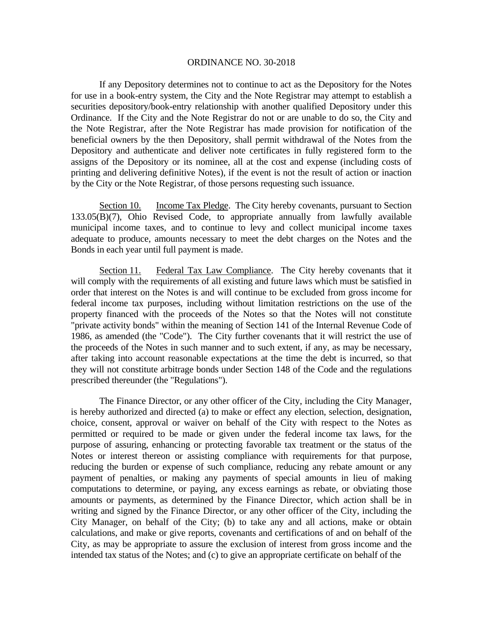If any Depository determines not to continue to act as the Depository for the Notes for use in a book-entry system, the City and the Note Registrar may attempt to establish a securities depository/book-entry relationship with another qualified Depository under this Ordinance. If the City and the Note Registrar do not or are unable to do so, the City and the Note Registrar, after the Note Registrar has made provision for notification of the beneficial owners by the then Depository, shall permit withdrawal of the Notes from the Depository and authenticate and deliver note certificates in fully registered form to the assigns of the Depository or its nominee, all at the cost and expense (including costs of printing and delivering definitive Notes), if the event is not the result of action or inaction by the City or the Note Registrar, of those persons requesting such issuance.

Section 10. Income Tax Pledge. The City hereby covenants, pursuant to Section 133.05(B)(7), Ohio Revised Code, to appropriate annually from lawfully available municipal income taxes, and to continue to levy and collect municipal income taxes adequate to produce, amounts necessary to meet the debt charges on the Notes and the Bonds in each year until full payment is made.

Section 11. Federal Tax Law Compliance. The City hereby covenants that it will comply with the requirements of all existing and future laws which must be satisfied in order that interest on the Notes is and will continue to be excluded from gross income for federal income tax purposes, including without limitation restrictions on the use of the property financed with the proceeds of the Notes so that the Notes will not constitute "private activity bonds" within the meaning of Section 141 of the Internal Revenue Code of 1986, as amended (the "Code"). The City further covenants that it will restrict the use of the proceeds of the Notes in such manner and to such extent, if any, as may be necessary, after taking into account reasonable expectations at the time the debt is incurred, so that they will not constitute arbitrage bonds under Section 148 of the Code and the regulations prescribed thereunder (the "Regulations").

 The Finance Director, or any other officer of the City, including the City Manager, is hereby authorized and directed (a) to make or effect any election, selection, designation, choice, consent, approval or waiver on behalf of the City with respect to the Notes as permitted or required to be made or given under the federal income tax laws, for the purpose of assuring, enhancing or protecting favorable tax treatment or the status of the Notes or interest thereon or assisting compliance with requirements for that purpose, reducing the burden or expense of such compliance, reducing any rebate amount or any payment of penalties, or making any payments of special amounts in lieu of making computations to determine, or paying, any excess earnings as rebate, or obviating those amounts or payments, as determined by the Finance Director, which action shall be in writing and signed by the Finance Director, or any other officer of the City, including the City Manager, on behalf of the City; (b) to take any and all actions, make or obtain calculations, and make or give reports, covenants and certifications of and on behalf of the City, as may be appropriate to assure the exclusion of interest from gross income and the intended tax status of the Notes; and (c) to give an appropriate certificate on behalf of the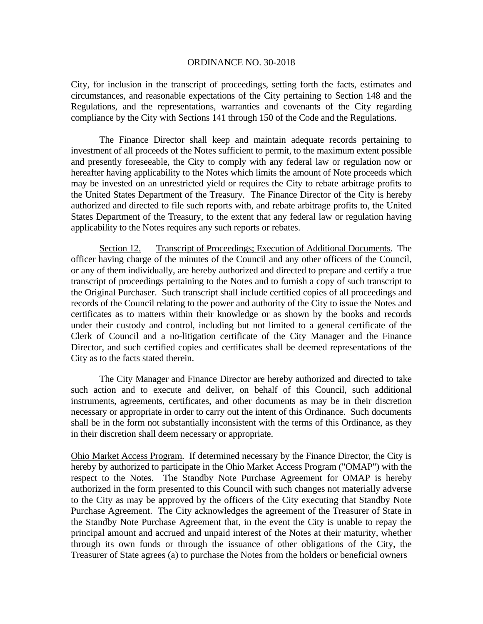City, for inclusion in the transcript of proceedings, setting forth the facts, estimates and circumstances, and reasonable expectations of the City pertaining to Section 148 and the Regulations, and the representations, warranties and covenants of the City regarding compliance by the City with Sections 141 through 150 of the Code and the Regulations.

 The Finance Director shall keep and maintain adequate records pertaining to investment of all proceeds of the Notes sufficient to permit, to the maximum extent possible and presently foreseeable, the City to comply with any federal law or regulation now or hereafter having applicability to the Notes which limits the amount of Note proceeds which may be invested on an unrestricted yield or requires the City to rebate arbitrage profits to the United States Department of the Treasury. The Finance Director of the City is hereby authorized and directed to file such reports with, and rebate arbitrage profits to, the United States Department of the Treasury, to the extent that any federal law or regulation having applicability to the Notes requires any such reports or rebates.

Section 12. Transcript of Proceedings; Execution of Additional Documents. The officer having charge of the minutes of the Council and any other officers of the Council, or any of them individually, are hereby authorized and directed to prepare and certify a true transcript of proceedings pertaining to the Notes and to furnish a copy of such transcript to the Original Purchaser. Such transcript shall include certified copies of all proceedings and records of the Council relating to the power and authority of the City to issue the Notes and certificates as to matters within their knowledge or as shown by the books and records under their custody and control, including but not limited to a general certificate of the Clerk of Council and a no-litigation certificate of the City Manager and the Finance Director, and such certified copies and certificates shall be deemed representations of the City as to the facts stated therein.

The City Manager and Finance Director are hereby authorized and directed to take such action and to execute and deliver, on behalf of this Council, such additional instruments, agreements, certificates, and other documents as may be in their discretion necessary or appropriate in order to carry out the intent of this Ordinance. Such documents shall be in the form not substantially inconsistent with the terms of this Ordinance, as they in their discretion shall deem necessary or appropriate.

Ohio Market Access Program. If determined necessary by the Finance Director, the City is hereby by authorized to participate in the Ohio Market Access Program ("OMAP") with the respect to the Notes. The Standby Note Purchase Agreement for OMAP is hereby authorized in the form presented to this Council with such changes not materially adverse to the City as may be approved by the officers of the City executing that Standby Note Purchase Agreement. The City acknowledges the agreement of the Treasurer of State in the Standby Note Purchase Agreement that, in the event the City is unable to repay the principal amount and accrued and unpaid interest of the Notes at their maturity, whether through its own funds or through the issuance of other obligations of the City, the Treasurer of State agrees (a) to purchase the Notes from the holders or beneficial owners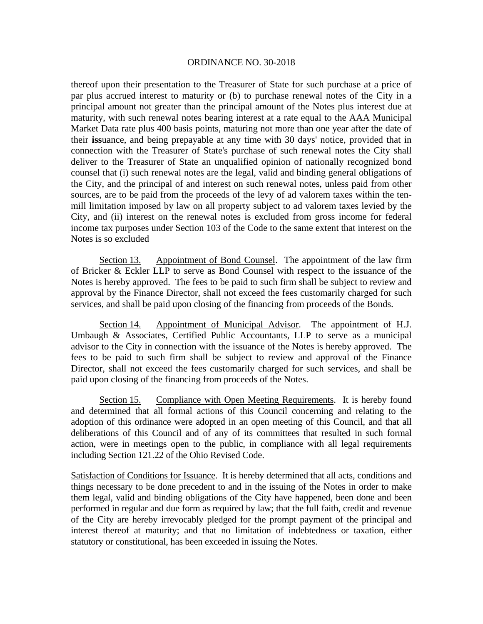thereof upon their presentation to the Treasurer of State for such purchase at a price of par plus accrued interest to maturity or (b) to purchase renewal notes of the City in a principal amount not greater than the principal amount of the Notes plus interest due at maturity, with such renewal notes bearing interest at a rate equal to the AAA Municipal Market Data rate plus 400 basis points, maturing not more than one year after the date of their **iss**uance, and being prepayable at any time with 30 days' notice, provided that in connection with the Treasurer of State's purchase of such renewal notes the City shall deliver to the Treasurer of State an unqualified opinion of nationally recognized bond counsel that (i) such renewal notes are the legal, valid and binding general obligations of the City, and the principal of and interest on such renewal notes, unless paid from other sources, are to be paid from the proceeds of the levy of ad valorem taxes within the tenmill limitation imposed by law on all property subject to ad valorem taxes levied by the City, and (ii) interest on the renewal notes is excluded from gross income for federal income tax purposes under Section 103 of the Code to the same extent that interest on the Notes is so excluded

Section 13. Appointment of Bond Counsel. The appointment of the law firm of Bricker & Eckler LLP to serve as Bond Counsel with respect to the issuance of the Notes is hereby approved. The fees to be paid to such firm shall be subject to review and approval by the Finance Director, shall not exceed the fees customarily charged for such services, and shall be paid upon closing of the financing from proceeds of the Bonds.

Section 14. Appointment of Municipal Advisor. The appointment of H.J. Umbaugh & Associates, Certified Public Accountants, LLP to serve as a municipal advisor to the City in connection with the issuance of the Notes is hereby approved. The fees to be paid to such firm shall be subject to review and approval of the Finance Director, shall not exceed the fees customarily charged for such services, and shall be paid upon closing of the financing from proceeds of the Notes.

Section 15. Compliance with Open Meeting Requirements. It is hereby found and determined that all formal actions of this Council concerning and relating to the adoption of this ordinance were adopted in an open meeting of this Council, and that all deliberations of this Council and of any of its committees that resulted in such formal action, were in meetings open to the public, in compliance with all legal requirements including Section 121.22 of the Ohio Revised Code.

Satisfaction of Conditions for Issuance. It is hereby determined that all acts, conditions and things necessary to be done precedent to and in the issuing of the Notes in order to make them legal, valid and binding obligations of the City have happened, been done and been performed in regular and due form as required by law; that the full faith, credit and revenue of the City are hereby irrevocably pledged for the prompt payment of the principal and interest thereof at maturity; and that no limitation of indebtedness or taxation, either statutory or constitutional, has been exceeded in issuing the Notes.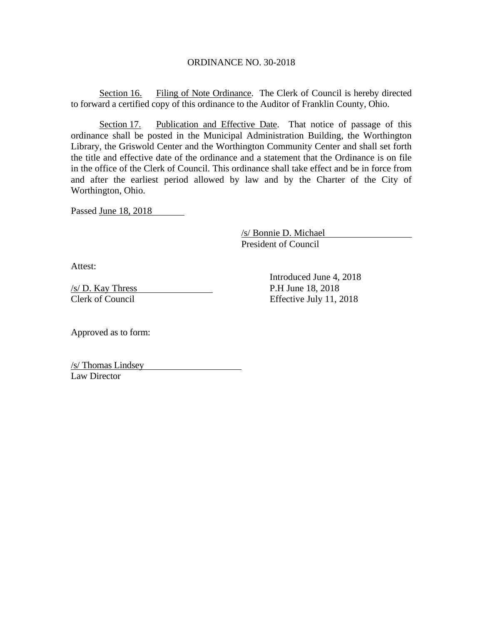Section 16. Filing of Note Ordinance. The Clerk of Council is hereby directed to forward a certified copy of this ordinance to the Auditor of Franklin County, Ohio.

Section 17. Publication and Effective Date. That notice of passage of this ordinance shall be posted in the Municipal Administration Building, the Worthington Library, the Griswold Center and the Worthington Community Center and shall set forth the title and effective date of the ordinance and a statement that the Ordinance is on file in the office of the Clerk of Council. This ordinance shall take effect and be in force from and after the earliest period allowed by law and by the Charter of the City of Worthington, Ohio.

Passed June 18, 2018

 /s/ Bonnie D. Michael President of Council

Attest:

 $\frac{\text{S}}{\text{D}}$ . Kay Thress P.H June 18, 2018

 Introduced June 4, 2018 Clerk of Council Effective July 11, 2018

Approved as to form:

/s/ Thomas Lindsey Law Director